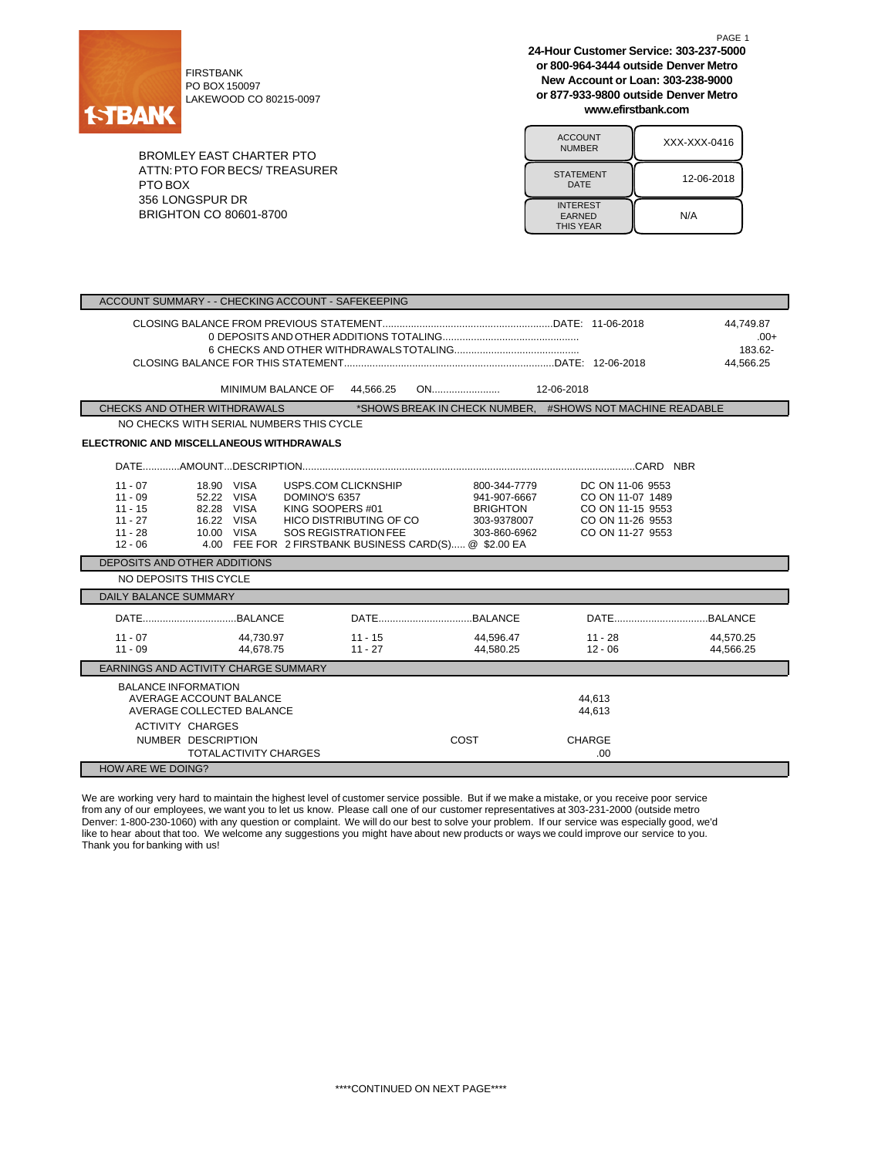

PO BOX 150097 LAKEWOOD CO 80215-0097

BROMLEY EAST CHARTER PTO ATTN:PTO FOR BECS/ TREASURER PTO BOX 356 LONGSPUR DR BRIGHTON CO 80601-8700

**24-Hour Customer Service: 303-237-5000 or 800-964-3444 outside Denver Metro New Account or Loan: 303-238-9000 or 877-933-9800 outside Denver Metro www.efirstbank.com**

PAGE 1

| <b>ACCOUNT</b><br><b>NUMBER</b>                      | XXX-XXX-0416 |  |  |  |
|------------------------------------------------------|--------------|--|--|--|
| <b>STATEMENT</b><br>DATE                             | 12-06-2018   |  |  |  |
| <b>INTEREST</b><br><b>EARNED</b><br><b>THIS YEAR</b> | N/A          |  |  |  |

| ACCOUNT SUMMARY - - CHECKING ACCOUNT - SAFEKEEPING                                                                                                                                                                                                                                                                              |                                                                                                                                                                             |  |  |  |  |  |
|---------------------------------------------------------------------------------------------------------------------------------------------------------------------------------------------------------------------------------------------------------------------------------------------------------------------------------|-----------------------------------------------------------------------------------------------------------------------------------------------------------------------------|--|--|--|--|--|
|                                                                                                                                                                                                                                                                                                                                 | 44.749.87<br>$.00+$<br>183.62-<br>44.566.25                                                                                                                                 |  |  |  |  |  |
| MINIMUM BALANCE OF<br>44.566.25                                                                                                                                                                                                                                                                                                 | 12-06-2018                                                                                                                                                                  |  |  |  |  |  |
| CHECKS AND OTHER WITHDRAWALS                                                                                                                                                                                                                                                                                                    | *SHOWS BREAK IN CHECK NUMBER. #SHOWS NOT MACHINE READABLE                                                                                                                   |  |  |  |  |  |
| NO CHECKS WITH SERIAL NUMBERS THIS CYCLE                                                                                                                                                                                                                                                                                        |                                                                                                                                                                             |  |  |  |  |  |
| <b>ELECTRONIC AND MISCELLANEOUS WITHDRAWALS</b>                                                                                                                                                                                                                                                                                 |                                                                                                                                                                             |  |  |  |  |  |
|                                                                                                                                                                                                                                                                                                                                 |                                                                                                                                                                             |  |  |  |  |  |
| USPS.COM CLICKNSHIP<br>$11 - 07$<br>18.90 VISA<br>$11 - 09$<br>52.22 VISA<br>DOMINO'S 6357<br>$11 - 15$<br>82.28 VISA<br>KING SOOPERS #01<br>$11 - 27$<br>16.22 VISA<br>HICO DISTRIBUTING OF CO<br>$11 - 28$<br>10.00 VISA<br><b>SOS REGISTRATION FEE</b><br>4.00 FEE FOR 2 FIRSTBANK BUSINESS CARD(S) @ \$2.00 EA<br>$12 - 06$ | 800-344-7779<br>DC ON 11-06 9553<br>CO ON 11-07 1489<br>941-907-6667<br>CO ON 11-15 9553<br>BRIGHTON<br>303-9378007<br>CO ON 11-26 9553<br>CO ON 11-27 9553<br>303-860-6962 |  |  |  |  |  |
| DEPOSITS AND OTHER ADDITIONS                                                                                                                                                                                                                                                                                                    |                                                                                                                                                                             |  |  |  |  |  |
| NO DEPOSITS THIS CYCLE                                                                                                                                                                                                                                                                                                          |                                                                                                                                                                             |  |  |  |  |  |
| <b>DAILY BALANCE SUMMARY</b>                                                                                                                                                                                                                                                                                                    |                                                                                                                                                                             |  |  |  |  |  |
|                                                                                                                                                                                                                                                                                                                                 |                                                                                                                                                                             |  |  |  |  |  |
| $11 - 07$<br>44.730.97<br>$11 - 15$<br>$11 - 09$<br>44.678.75<br>$11 - 27$                                                                                                                                                                                                                                                      | 44.596.47<br>$11 - 28$<br>44.570.25<br>44.580.25<br>$12 - 06$<br>44,566.25                                                                                                  |  |  |  |  |  |
| EARNINGS AND ACTIVITY CHARGE SUMMARY                                                                                                                                                                                                                                                                                            |                                                                                                                                                                             |  |  |  |  |  |
| <b>BALANCE INFORMATION</b><br>AVERAGE ACCOUNT BALANCE<br>AVERAGE COLLECTED BALANCE<br><b>ACTIVITY CHARGES</b>                                                                                                                                                                                                                   | 44.613<br>44.613                                                                                                                                                            |  |  |  |  |  |
| NUMBER DESCRIPTION<br><b>TOTALACTIVITY CHARGES</b>                                                                                                                                                                                                                                                                              | COST<br><b>CHARGE</b><br>.00.                                                                                                                                               |  |  |  |  |  |
| <b>HOW ARE WE DOING?</b>                                                                                                                                                                                                                                                                                                        |                                                                                                                                                                             |  |  |  |  |  |

We are working very hard to maintain the highest level of customer service possible. But if we make a mistake, or you receive poor service from any of our employees, we want you to let us know. Please call one of our customer representatives at 303-231-2000 (outside metro Denver: 1-800-230-1060) with any question or complaint. We will do our best to solve your problem. If our service was especially good, we'd like to hear about that too. We welcome any suggestions you might have about new products or ways we could improve our service to you. Thank you for banking with us!